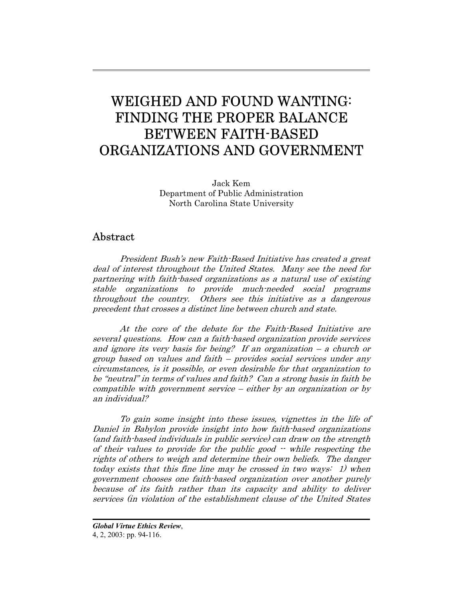# WEIGHED AND FOUND WANTING: FINDING THE PROPER BALANCE BETWEEN FAITH-BASED ORGANIZATIONS AND GOVERNMENT

Jack Kem Department of Public Administration North Carolina State University

# Abstract

President Bush's new Faith-Based Initiative has created a great deal of interest throughout the United States. Many see the need for partnering with faith-based organizations as a natural use of existing stable organizations to provide much-needed social programs throughout the country. Others see this initiative as a dangerous precedent that crosses a distinct line between church and state.

At the core of the debate for the Faith-Based Initiative are several questions. How can a faith-based organization provide services and ignore its very basis for being? If an organization  $-$  a church or group based on values and faith – provides social services under any circumstances, is it possible, or even desirable for that organization to be "neutral" in terms of values and faith? Can a strong basis in faith be compatible with government service – either by an organization or by an individual?

To gain some insight into these issues, vignettes in the life of Daniel in Babylon provide insight into how faith-based organizations (and faith-based individuals in public service) can draw on the strength of their values to provide for the public good -- while respecting the rights of others to weigh and determine their own beliefs. The danger today exists that this fine line may be crossed in two ways: 1) when government chooses one faith-based organization over another purely because of its faith rather than its capacity and ability to deliver services (in violation of the establishment clause of the United States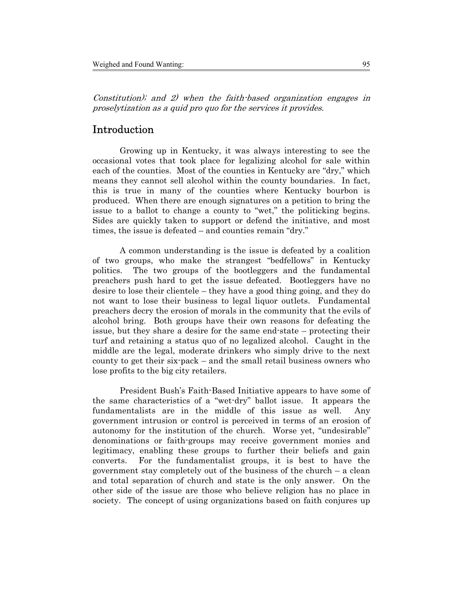Constitution); and 2) when the faith-based organization engages in proselytization as a quid pro quo for the services it provides.

# Introduction

Growing up in Kentucky, it was always interesting to see the occasional votes that took place for legalizing alcohol for sale within each of the counties. Most of the counties in Kentucky are "dry," which means they cannot sell alcohol within the county boundaries. In fact, this is true in many of the counties where Kentucky bourbon is produced. When there are enough signatures on a petition to bring the issue to a ballot to change a county to "wet," the politicking begins. Sides are quickly taken to support or defend the initiative, and most times, the issue is defeated – and counties remain "dry."

A common understanding is the issue is defeated by a coalition of two groups, who make the strangest "bedfellows" in Kentucky politics. The two groups of the bootleggers and the fundamental preachers push hard to get the issue defeated. Bootleggers have no desire to lose their clientele – they have a good thing going, and they do not want to lose their business to legal liquor outlets. Fundamental preachers decry the erosion of morals in the community that the evils of alcohol bring. Both groups have their own reasons for defeating the issue, but they share a desire for the same end-state – protecting their turf and retaining a status quo of no legalized alcohol. Caught in the middle are the legal, moderate drinkers who simply drive to the next county to get their six-pack – and the small retail business owners who lose profits to the big city retailers.

President Bush's Faith-Based Initiative appears to have some of the same characteristics of a "wet-dry" ballot issue. It appears the fundamentalists are in the middle of this issue as well. Any government intrusion or control is perceived in terms of an erosion of autonomy for the institution of the church. Worse yet, "undesirable" denominations or faith-groups may receive government monies and legitimacy, enabling these groups to further their beliefs and gain converts. For the fundamentalist groups, it is best to have the government stay completely out of the business of the church – a clean and total separation of church and state is the only answer. On the other side of the issue are those who believe religion has no place in society. The concept of using organizations based on faith conjures up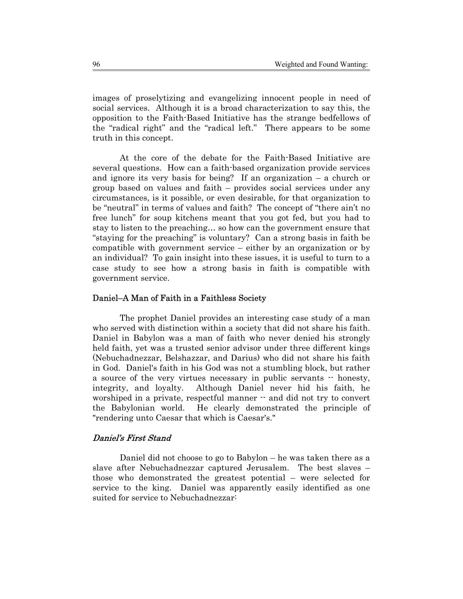images of proselytizing and evangelizing innocent people in need of social services. Although it is a broad characterization to say this, the opposition to the Faith-Based Initiative has the strange bedfellows of the "radical right" and the "radical left." There appears to be some truth in this concept.

At the core of the debate for the Faith-Based Initiative are several questions. How can a faith-based organization provide services and ignore its very basis for being? If an organization – a church or group based on values and faith – provides social services under any circumstances, is it possible, or even desirable, for that organization to be "neutral" in terms of values and faith? The concept of "there ain't no free lunch" for soup kitchens meant that you got fed, but you had to stay to listen to the preaching… so how can the government ensure that "staying for the preaching" is voluntary? Can a strong basis in faith be compatible with government service – either by an organization or by an individual? To gain insight into these issues, it is useful to turn to a case study to see how a strong basis in faith is compatible with government service.

#### Daniel–A Man of Faith in a Faithless Society

The prophet Daniel provides an interesting case study of a man who served with distinction within a society that did not share his faith. Daniel in Babylon was a man of faith who never denied his strongly held faith, yet was a trusted senior advisor under three different kings (Nebuchadnezzar, Belshazzar, and Darius) who did not share his faith in God. Daniel's faith in his God was not a stumbling block, but rather a source of the very virtues necessary in public servants  $\cdot$  honesty, integrity, and loyalty. Although Daniel never hid his faith, he worshiped in a private, respectful manner  $\cdot$  and did not try to convert the Babylonian world. He clearly demonstrated the principle of "rendering unto Caesar that which is Caesar's."

## Daniel's First Stand

Daniel did not choose to go to Babylon – he was taken there as a slave after Nebuchadnezzar captured Jerusalem. The best slaves – those who demonstrated the greatest potential – were selected for service to the king. Daniel was apparently easily identified as one suited for service to Nebuchadnezzar: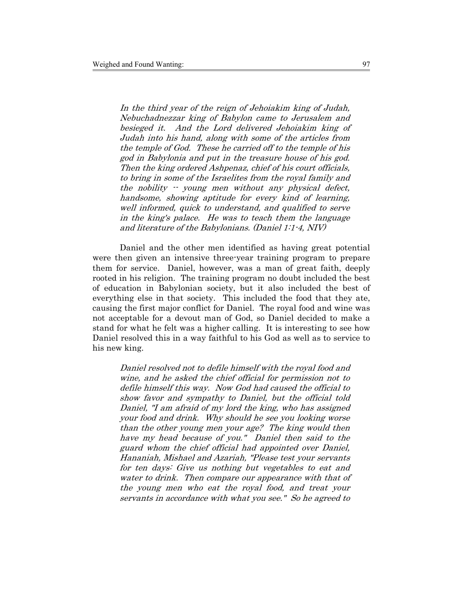In the third year of the reign of Jehoiakim king of Judah, Nebuchadnezzar king of Babylon came to Jerusalem and besieged it. And the Lord delivered Jehoiakim king of Judah into his hand, along with some of the articles from the temple of God. These he carried off to the temple of his god in Babylonia and put in the treasure house of his god. Then the king ordered Ashpenaz, chief of his court officials, to bring in some of the Israelites from the royal family and the nobility  $\cdot$  young men without any physical defect, handsome, showing aptitude for every kind of learning, well informed, quick to understand, and qualified to serve in the king's palace. He was to teach them the language and literature of the Babylonians. (Daniel 1:1-4, NIV)

Daniel and the other men identified as having great potential were then given an intensive three-year training program to prepare them for service. Daniel, however, was a man of great faith, deeply rooted in his religion. The training program no doubt included the best of education in Babylonian society, but it also included the best of everything else in that society. This included the food that they ate, causing the first major conflict for Daniel. The royal food and wine was not acceptable for a devout man of God, so Daniel decided to make a stand for what he felt was a higher calling. It is interesting to see how Daniel resolved this in a way faithful to his God as well as to service to his new king.

Daniel resolved not to defile himself with the royal food and wine, and he asked the chief official for permission not to defile himself this way. Now God had caused the official to show favor and sympathy to Daniel, but the official told Daniel, "I am afraid of my lord the king, who has assigned your food and drink. Why should he see you looking worse than the other young men your age? The king would then have my head because of you." Daniel then said to the guard whom the chief official had appointed over Daniel, Hananiah, Mishael and Azariah, "Please test your servants for ten days: Give us nothing but vegetables to eat and water to drink. Then compare our appearance with that of the young men who eat the royal food, and treat your servants in accordance with what you see." So he agreed to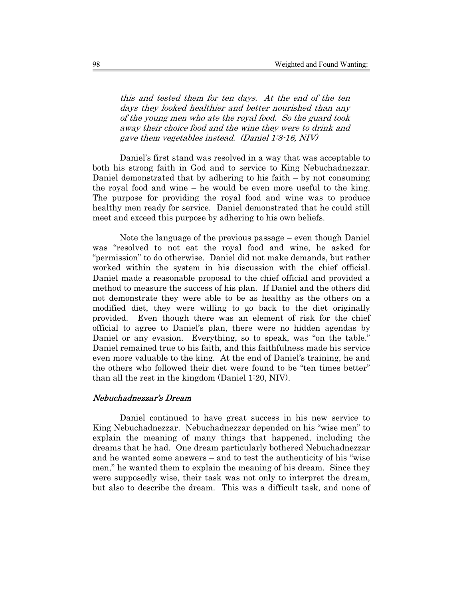this and tested them for ten days. At the end of the ten days they looked healthier and better nourished than any of the young men who ate the royal food. So the guard took away their choice food and the wine they were to drink and gave them vegetables instead. (Daniel 1:8-16, NIV)

Daniel's first stand was resolved in a way that was acceptable to both his strong faith in God and to service to King Nebuchadnezzar. Daniel demonstrated that by adhering to his faith – by not consuming the royal food and wine – he would be even more useful to the king. The purpose for providing the royal food and wine was to produce healthy men ready for service. Daniel demonstrated that he could still meet and exceed this purpose by adhering to his own beliefs.

Note the language of the previous passage – even though Daniel was "resolved to not eat the royal food and wine, he asked for "permission" to do otherwise. Daniel did not make demands, but rather worked within the system in his discussion with the chief official. Daniel made a reasonable proposal to the chief official and provided a method to measure the success of his plan. If Daniel and the others did not demonstrate they were able to be as healthy as the others on a modified diet, they were willing to go back to the diet originally provided. Even though there was an element of risk for the chief official to agree to Daniel's plan, there were no hidden agendas by Daniel or any evasion. Everything, so to speak, was "on the table." Daniel remained true to his faith, and this faithfulness made his service even more valuable to the king. At the end of Daniel's training, he and the others who followed their diet were found to be "ten times better" than all the rest in the kingdom (Daniel 1:20, NIV).

#### Nebuchadnezzar's Dream

Daniel continued to have great success in his new service to King Nebuchadnezzar. Nebuchadnezzar depended on his "wise men" to explain the meaning of many things that happened, including the dreams that he had. One dream particularly bothered Nebuchadnezzar and he wanted some answers – and to test the authenticity of his "wise men," he wanted them to explain the meaning of his dream. Since they were supposedly wise, their task was not only to interpret the dream, but also to describe the dream. This was a difficult task, and none of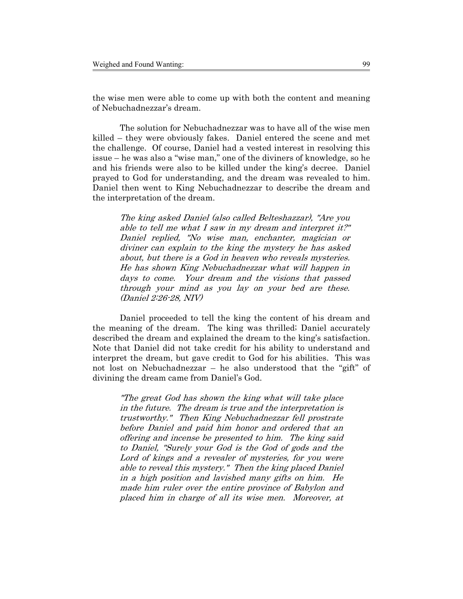the wise men were able to come up with both the content and meaning of Nebuchadnezzar's dream.

The solution for Nebuchadnezzar was to have all of the wise men killed – they were obviously fakes. Daniel entered the scene and met the challenge. Of course, Daniel had a vested interest in resolving this issue – he was also a "wise man," one of the diviners of knowledge, so he and his friends were also to be killed under the king's decree. Daniel prayed to God for understanding, and the dream was revealed to him. Daniel then went to King Nebuchadnezzar to describe the dream and the interpretation of the dream.

The king asked Daniel (also called Belteshazzar), "Are you able to tell me what I saw in my dream and interpret it?" Daniel replied, "No wise man, enchanter, magician or diviner can explain to the king the mystery he has asked about, but there is a God in heaven who reveals mysteries. He has shown King Nebuchadnezzar what will happen in days to come. Your dream and the visions that passed through your mind as you lay on your bed are these. (Daniel 2:26-28, NIV)

Daniel proceeded to tell the king the content of his dream and the meaning of the dream. The king was thrilled; Daniel accurately described the dream and explained the dream to the king's satisfaction. Note that Daniel did not take credit for his ability to understand and interpret the dream, but gave credit to God for his abilities. This was not lost on Nebuchadnezzar – he also understood that the "gift" of divining the dream came from Daniel's God.

"The great God has shown the king what will take place in the future. The dream is true and the interpretation is trustworthy." Then King Nebuchadnezzar fell prostrate before Daniel and paid him honor and ordered that an offering and incense be presented to him. The king said to Daniel, "Surely your God is the God of gods and the Lord of kings and a revealer of mysteries, for you were able to reveal this mystery." Then the king placed Daniel in a high position and lavished many gifts on him. He made him ruler over the entire province of Babylon and placed him in charge of all its wise men. Moreover, at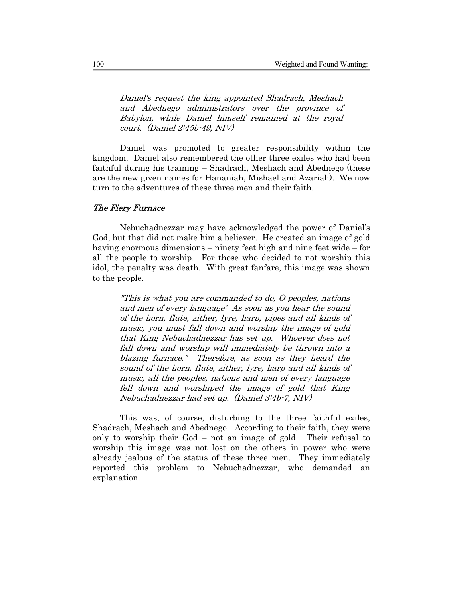Daniel's request the king appointed Shadrach, Meshach and Abednego administrators over the province of Babylon, while Daniel himself remained at the royal court. (Daniel 2:45b-49, NIV)

Daniel was promoted to greater responsibility within the kingdom. Daniel also remembered the other three exiles who had been faithful during his training – Shadrach, Meshach and Abednego (these are the new given names for Hananiah, Mishael and Azariah). We now turn to the adventures of these three men and their faith.

## The Fiery Furnace

Nebuchadnezzar may have acknowledged the power of Daniel's God, but that did not make him a believer. He created an image of gold having enormous dimensions – ninety feet high and nine feet wide – for all the people to worship. For those who decided to not worship this idol, the penalty was death. With great fanfare, this image was shown to the people.

"This is what you are commanded to do, O peoples, nations and men of every language: As soon as you hear the sound of the horn, flute, zither, lyre, harp, pipes and all kinds of music, you must fall down and worship the image of gold that King Nebuchadnezzar has set up. Whoever does not fall down and worship will immediately be thrown into a blazing furnace." Therefore, as soon as they heard the sound of the horn, flute, zither, lyre, harp and all kinds of music, all the peoples, nations and men of every language fell down and worshiped the image of gold that King Nebuchadnezzar had set up. (Daniel 3:4b-7, NIV)

This was, of course, disturbing to the three faithful exiles, Shadrach, Meshach and Abednego. According to their faith, they were only to worship their God – not an image of gold. Their refusal to worship this image was not lost on the others in power who were already jealous of the status of these three men. They immediately reported this problem to Nebuchadnezzar, who demanded an explanation.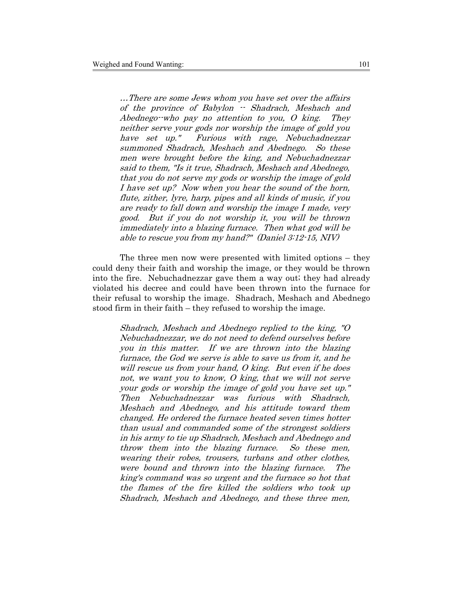…There are some Jews whom you have set over the affairs of the province of Babylon -- Shadrach, Meshach and Abednego--who pay no attention to you, O king. They neither serve your gods nor worship the image of gold you have set up." Furious with rage, Nebuchadnezzar summoned Shadrach, Meshach and Abednego. So these men were brought before the king, and Nebuchadnezzar said to them, "Is it true, Shadrach, Meshach and Abednego, that you do not serve my gods or worship the image of gold I have set up? Now when you hear the sound of the horn, flute, zither, lyre, harp, pipes and all kinds of music, if you are ready to fall down and worship the image I made, very good. But if you do not worship it, you will be thrown immediately into a blazing furnace. Then what god will be able to rescue you from my hand?" (Daniel 3:12-15, NIV)

The three men now were presented with limited options – they could deny their faith and worship the image, or they would be thrown into the fire. Nebuchadnezzar gave them a way out; they had already violated his decree and could have been thrown into the furnace for their refusal to worship the image. Shadrach, Meshach and Abednego stood firm in their faith – they refused to worship the image.

Shadrach, Meshach and Abednego replied to the king, "O Nebuchadnezzar, we do not need to defend ourselves before you in this matter. If we are thrown into the blazing furnace, the God we serve is able to save us from it, and he will rescue us from your hand, O king. But even if he does not, we want you to know, O king, that we will not serve your gods or worship the image of gold you have set up." Then Nebuchadnezzar was furious with Shadrach, Meshach and Abednego, and his attitude toward them changed. He ordered the furnace heated seven times hotter than usual and commanded some of the strongest soldiers in his army to tie up Shadrach, Meshach and Abednego and throw them into the blazing furnace. So these men, wearing their robes, trousers, turbans and other clothes, were bound and thrown into the blazing furnace. The king's command was so urgent and the furnace so hot that the flames of the fire killed the soldiers who took up Shadrach, Meshach and Abednego, and these three men,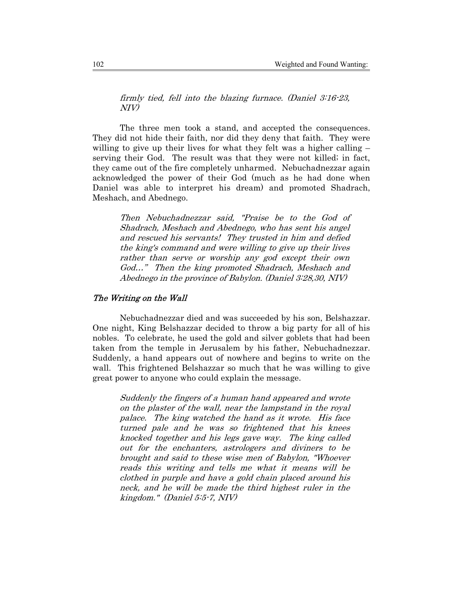firmly tied, fell into the blazing furnace. (Daniel 3:16-23, NIV)

The three men took a stand, and accepted the consequences. They did not hide their faith, nor did they deny that faith. They were willing to give up their lives for what they felt was a higher calling – serving their God. The result was that they were not killed; in fact, they came out of the fire completely unharmed. Nebuchadnezzar again acknowledged the power of their God (much as he had done when Daniel was able to interpret his dream) and promoted Shadrach, Meshach, and Abednego.

Then Nebuchadnezzar said, "Praise be to the God of Shadrach, Meshach and Abednego, who has sent his angel and rescued his servants! They trusted in him and defied the king's command and were willing to give up their lives rather than serve or worship any god except their own God…" Then the king promoted Shadrach, Meshach and Abednego in the province of Babylon. (Daniel 3:28,30, NIV)

## The Writing on the Wall

Nebuchadnezzar died and was succeeded by his son, Belshazzar. One night, King Belshazzar decided to throw a big party for all of his nobles. To celebrate, he used the gold and silver goblets that had been taken from the temple in Jerusalem by his father, Nebuchadnezzar. Suddenly, a hand appears out of nowhere and begins to write on the wall. This frightened Belshazzar so much that he was willing to give great power to anyone who could explain the message.

Suddenly the fingers of a human hand appeared and wrote on the plaster of the wall, near the lampstand in the royal palace. The king watched the hand as it wrote. His face turned pale and he was so frightened that his knees knocked together and his legs gave way. The king called out for the enchanters, astrologers and diviners to be brought and said to these wise men of Babylon, "Whoever reads this writing and tells me what it means will be clothed in purple and have a gold chain placed around his neck, and he will be made the third highest ruler in the kingdom." (Daniel 5:5-7, NIV)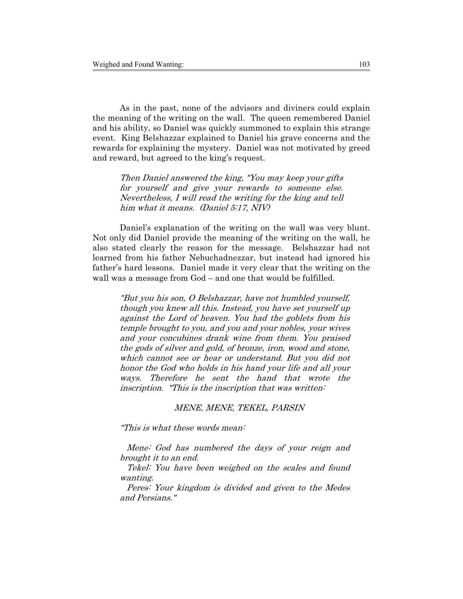As in the past, none of the advisors and diviners could explain the meaning of the writing on the wall. The queen remembered Daniel and his ability, so Daniel was quickly summoned to explain this strange event. King Belshazzar explained to Daniel his grave concerns and the rewards for explaining the mystery. Daniel was not motivated by greed and reward, but agreed to the king's request.

Then Daniel answered the king, "You may keep your gifts for yourself and give your rewards to someone else. Nevertheless, I will read the writing for the king and tell him what it means. (Daniel 5:17, NIV)

Daniel's explanation of the writing on the wall was very blunt. Not only did Daniel provide the meaning of the writing on the wall, he also stated clearly the reason for the message. Belshazzar had not learned from his father Nebuchadnezzar, but instead had ignored his father's hard lessons. Daniel made it very clear that the writing on the wall was a message from God – and one that would be fulfilled.

"But you his son, O Belshazzar, have not humbled yourself, though you knew all this. Instead, you have set yourself up against the Lord of heaven. You had the goblets from his temple brought to you, and you and your nobles, your wives and your concubines drank wine from them. You praised the gods of silver and gold, of bronze, iron, wood and stone, which cannot see or hear or understand. But you did not honor the God who holds in his hand your life and all your ways. Therefore he sent the hand that wrote the inscription. "This is the inscription that was written:

#### MENE, MENE, TEKEL, PARSIN

"This is what these words mean:

Mene: God has numbered the days of your reign and brought it to an end.

Tekel: You have been weighed on the scales and found wanting.

Peres: Your kingdom is divided and given to the Medes and Persians."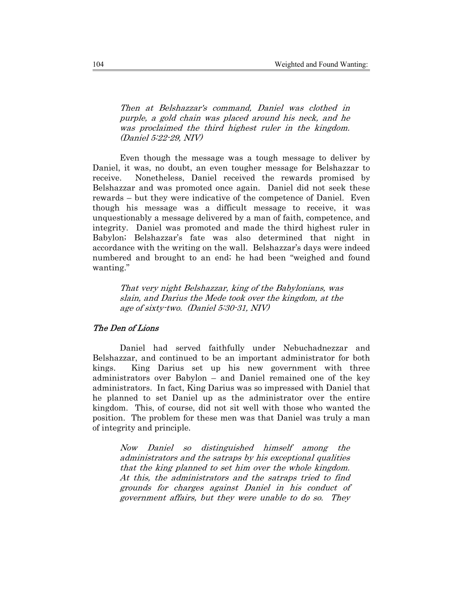Then at Belshazzar's command, Daniel was clothed in purple, a gold chain was placed around his neck, and he was proclaimed the third highest ruler in the kingdom. (Daniel 5:22-29, NIV)

Even though the message was a tough message to deliver by Daniel, it was, no doubt, an even tougher message for Belshazzar to receive. Nonetheless, Daniel received the rewards promised by Belshazzar and was promoted once again. Daniel did not seek these rewards – but they were indicative of the competence of Daniel. Even though his message was a difficult message to receive, it was unquestionably a message delivered by a man of faith, competence, and integrity. Daniel was promoted and made the third highest ruler in Babylon; Belshazzar's fate was also determined that night in accordance with the writing on the wall. Belshazzar's days were indeed numbered and brought to an end; he had been "weighed and found wanting."

That very night Belshazzar, king of the Babylonians, was slain, and Darius the Mede took over the kingdom, at the age of sixty-two. (Daniel 5:30-31, NIV)

## The Den of Lions

Daniel had served faithfully under Nebuchadnezzar and Belshazzar, and continued to be an important administrator for both kings. King Darius set up his new government with three administrators over Babylon – and Daniel remained one of the key administrators. In fact, King Darius was so impressed with Daniel that he planned to set Daniel up as the administrator over the entire kingdom. This, of course, did not sit well with those who wanted the position. The problem for these men was that Daniel was truly a man of integrity and principle.

Now Daniel so distinguished himself among the administrators and the satraps by his exceptional qualities that the king planned to set him over the whole kingdom. At this, the administrators and the satraps tried to find grounds for charges against Daniel in his conduct of government affairs, but they were unable to do so. They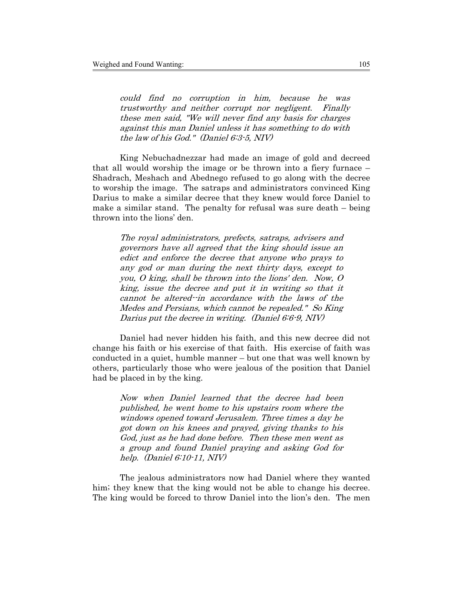could find no corruption in him, because he was trustworthy and neither corrupt nor negligent. Finally these men said, "We will never find any basis for charges against this man Daniel unless it has something to do with the law of his God." (Daniel 6:3-5, NIV)

King Nebuchadnezzar had made an image of gold and decreed that all would worship the image or be thrown into a fiery furnace – Shadrach, Meshach and Abednego refused to go along with the decree to worship the image. The satraps and administrators convinced King Darius to make a similar decree that they knew would force Daniel to make a similar stand. The penalty for refusal was sure death – being thrown into the lions' den.

The royal administrators, prefects, satraps, advisers and governors have all agreed that the king should issue an edict and enforce the decree that anyone who prays to any god or man during the next thirty days, except to you, O king, shall be thrown into the lions' den. Now, O king, issue the decree and put it in writing so that it cannot be altered--in accordance with the laws of the Medes and Persians, which cannot be repealed." So King Darius put the decree in writing. (Daniel 6:6-9, NIV)

Daniel had never hidden his faith, and this new decree did not change his faith or his exercise of that faith. His exercise of faith was conducted in a quiet, humble manner – but one that was well known by others, particularly those who were jealous of the position that Daniel had be placed in by the king.

Now when Daniel learned that the decree had been published, he went home to his upstairs room where the windows opened toward Jerusalem. Three times a day he got down on his knees and prayed, giving thanks to his God, just as he had done before. Then these men went as a group and found Daniel praying and asking God for help. (Daniel 6:10-11, NIV)

The jealous administrators now had Daniel where they wanted him; they knew that the king would not be able to change his decree. The king would be forced to throw Daniel into the lion's den. The men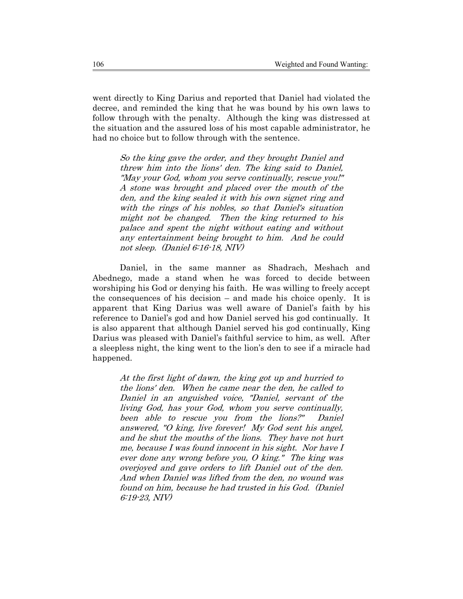went directly to King Darius and reported that Daniel had violated the decree, and reminded the king that he was bound by his own laws to follow through with the penalty. Although the king was distressed at the situation and the assured loss of his most capable administrator, he had no choice but to follow through with the sentence.

So the king gave the order, and they brought Daniel and threw him into the lions' den. The king said to Daniel, "May your God, whom you serve continually, rescue you!" A stone was brought and placed over the mouth of the den, and the king sealed it with his own signet ring and with the rings of his nobles, so that Daniel's situation might not be changed. Then the king returned to his palace and spent the night without eating and without any entertainment being brought to him. And he could not sleep. (Daniel 6:16-18, NIV)

Daniel, in the same manner as Shadrach, Meshach and Abednego, made a stand when he was forced to decide between worshiping his God or denying his faith. He was willing to freely accept the consequences of his decision – and made his choice openly. It is apparent that King Darius was well aware of Daniel's faith by his reference to Daniel's god and how Daniel served his god continually. It is also apparent that although Daniel served his god continually, King Darius was pleased with Daniel's faithful service to him, as well. After a sleepless night, the king went to the lion's den to see if a miracle had happened.

At the first light of dawn, the king got up and hurried to the lions' den. When he came near the den, he called to Daniel in an anguished voice, "Daniel, servant of the living God, has your God, whom you serve continually, been able to rescue you from the lions?" Daniel answered, "O king, live forever! My God sent his angel, and he shut the mouths of the lions. They have not hurt me, because I was found innocent in his sight. Nor have I ever done any wrong before you, O king." The king was overjoyed and gave orders to lift Daniel out of the den. And when Daniel was lifted from the den, no wound was found on him, because he had trusted in his God. (Daniel 6:19-23, NIV)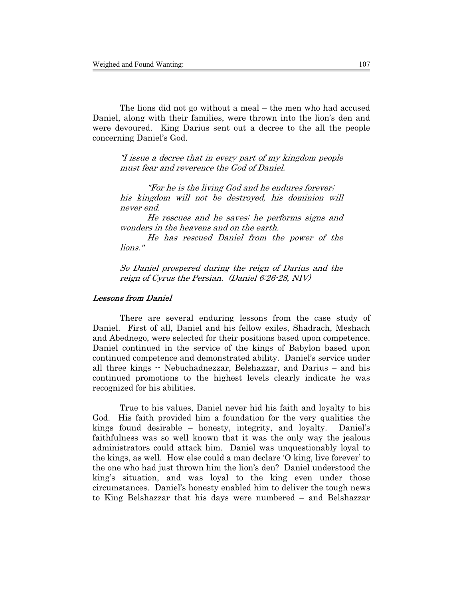The lions did not go without a meal – the men who had accused Daniel, along with their families, were thrown into the lion's den and were devoured. King Darius sent out a decree to the all the people concerning Daniel's God.

"I issue a decree that in every part of my kingdom people must fear and reverence the God of Daniel.

"For he is the living God and he endures forever; his kingdom will not be destroyed, his dominion will never end.

He rescues and he saves; he performs signs and wonders in the heavens and on the earth.

He has rescued Daniel from the power of the lions."

So Daniel prospered during the reign of Darius and the reign of Cyrus the Persian. (Daniel 6:26-28, NIV)

#### Lessons from Daniel

There are several enduring lessons from the case study of Daniel. First of all, Daniel and his fellow exiles, Shadrach, Meshach and Abednego, were selected for their positions based upon competence. Daniel continued in the service of the kings of Babylon based upon continued competence and demonstrated ability. Daniel's service under all three kings -- Nebuchadnezzar, Belshazzar, and Darius – and his continued promotions to the highest levels clearly indicate he was recognized for his abilities.

True to his values, Daniel never hid his faith and loyalty to his God. His faith provided him a foundation for the very qualities the kings found desirable – honesty, integrity, and loyalty. Daniel's faithfulness was so well known that it was the only way the jealous administrators could attack him. Daniel was unquestionably loyal to the kings, as well. How else could a man declare 'O king, live forever' to the one who had just thrown him the lion's den? Daniel understood the king's situation, and was loyal to the king even under those circumstances. Daniel's honesty enabled him to deliver the tough news to King Belshazzar that his days were numbered – and Belshazzar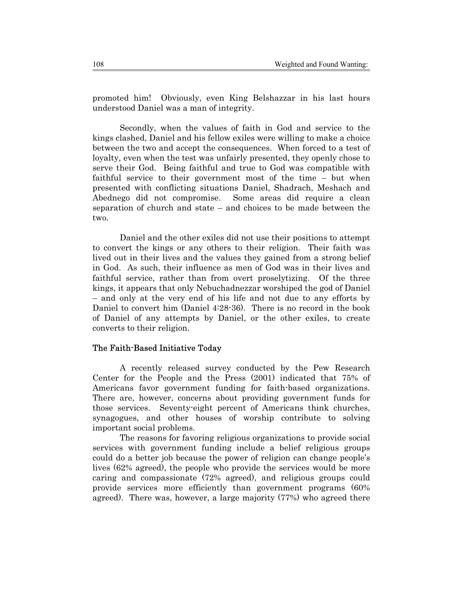promoted him! Obviously, even King Belshazzar in his last hours understood Daniel was a man of integrity.

Secondly, when the values of faith in God and service to the kings clashed, Daniel and his fellow exiles were willing to make a choice between the two and accept the consequences. When forced to a test of loyalty, even when the test was unfairly presented, they openly chose to serve their God. Being faithful and true to God was compatible with faithful service to their government most of the time – but when presented with conflicting situations Daniel, Shadrach, Meshach and Abednego did not compromise. Some areas did require a clean separation of church and state – and choices to be made between the two.

Daniel and the other exiles did not use their positions to attempt to convert the kings or any others to their religion. Their faith was lived out in their lives and the values they gained from a strong belief in God. As such, their influence as men of God was in their lives and faithful service, rather than from overt proselytizing. Of the three kings, it appears that only Nebuchadnezzar worshiped the god of Daniel – and only at the very end of his life and not due to any efforts by Daniel to convert him (Daniel 4:28-36). There is no record in the book of Daniel of any attempts by Daniel, or the other exiles, to create converts to their religion.

## The Faith-Based Initiative Today

A recently released survey conducted by the Pew Research Center for the People and the Press (2001) indicated that 75% of Americans favor government funding for faith-based organizations. There are, however, concerns about providing government funds for those services. Seventy-eight percent of Americans think churches, synagogues, and other houses of worship contribute to solving important social problems.

The reasons for favoring religious organizations to provide social services with government funding include a belief religious groups could do a better job because the power of religion can change people's lives (62% agreed), the people who provide the services would be more caring and compassionate (72% agreed), and religious groups could provide services more efficiently than government programs (60% agreed). There was, however, a large majority (77%) who agreed there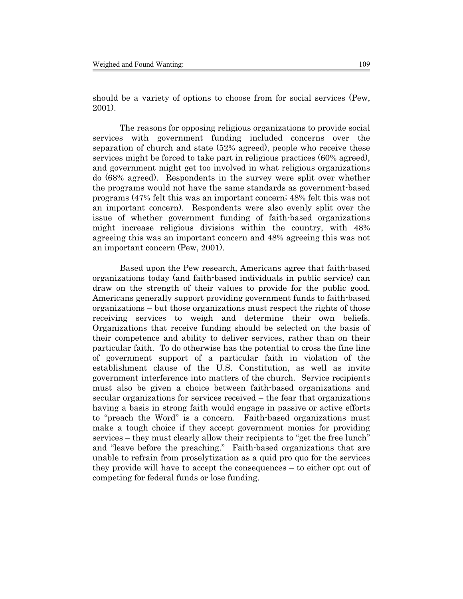should be a variety of options to choose from for social services (Pew, 2001).

The reasons for opposing religious organizations to provide social services with government funding included concerns over the separation of church and state (52% agreed), people who receive these services might be forced to take part in religious practices (60% agreed), and government might get too involved in what religious organizations do (68% agreed). Respondents in the survey were split over whether the programs would not have the same standards as government-based programs (47% felt this was an important concern; 48% felt this was not an important concern). Respondents were also evenly split over the issue of whether government funding of faith-based organizations might increase religious divisions within the country, with 48% agreeing this was an important concern and 48% agreeing this was not an important concern (Pew, 2001).

Based upon the Pew research, Americans agree that faith-based organizations today (and faith-based individuals in public service) can draw on the strength of their values to provide for the public good. Americans generally support providing government funds to faith-based organizations – but those organizations must respect the rights of those receiving services to weigh and determine their own beliefs. Organizations that receive funding should be selected on the basis of their competence and ability to deliver services, rather than on their particular faith. To do otherwise has the potential to cross the fine line of government support of a particular faith in violation of the establishment clause of the U.S. Constitution, as well as invite government interference into matters of the church. Service recipients must also be given a choice between faith-based organizations and secular organizations for services received – the fear that organizations having a basis in strong faith would engage in passive or active efforts to "preach the Word" is a concern. Faith-based organizations must make a tough choice if they accept government monies for providing services – they must clearly allow their recipients to "get the free lunch" and "leave before the preaching." Faith-based organizations that are unable to refrain from proselytization as a quid pro quo for the services they provide will have to accept the consequences – to either opt out of competing for federal funds or lose funding.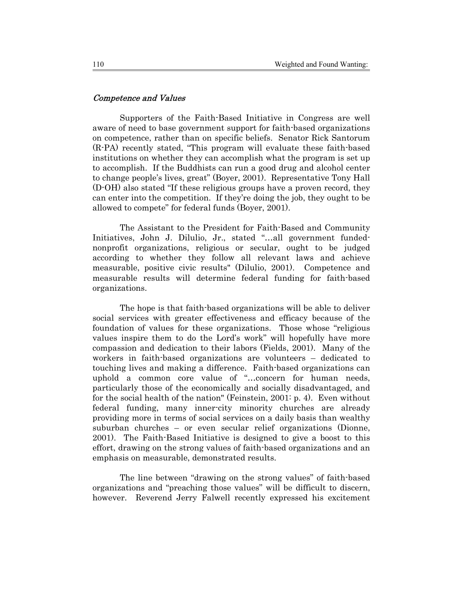#### Competence and Values

Supporters of the Faith-Based Initiative in Congress are well aware of need to base government support for faith-based organizations on competence, rather than on specific beliefs. Senator Rick Santorum (R-PA) recently stated, "This program will evaluate these faith-based institutions on whether they can accomplish what the program is set up to accomplish. If the Buddhists can run a good drug and alcohol center to change people's lives, great" (Boyer, 2001). Representative Tony Hall (D-OH) also stated "If these religious groups have a proven record, they can enter into the competition. If they're doing the job, they ought to be allowed to compete" for federal funds (Boyer, 2001).

The Assistant to the President for Faith-Based and Community Initiatives, John J. Dilulio, Jr., stated "…all government fundednonprofit organizations, religious or secular, ought to be judged according to whether they follow all relevant laws and achieve measurable, positive civic results" (Dilulio, 2001). Competence and measurable results will determine federal funding for faith-based organizations.

The hope is that faith-based organizations will be able to deliver social services with greater effectiveness and efficacy because of the foundation of values for these organizations. Those whose "religious values inspire them to do the Lord's work" will hopefully have more compassion and dedication to their labors (Fields, 2001). Many of the workers in faith-based organizations are volunteers – dedicated to touching lives and making a difference. Faith-based organizations can uphold a common core value of "…concern for human needs, particularly those of the economically and socially disadvantaged, and for the social health of the nation" (Feinstein, 2001: p. 4). Even without federal funding, many inner-city minority churches are already providing more in terms of social services on a daily basis than wealthy suburban churches – or even secular relief organizations (Dionne, 2001). The Faith-Based Initiative is designed to give a boost to this effort, drawing on the strong values of faith-based organizations and an emphasis on measurable, demonstrated results.

The line between "drawing on the strong values" of faith-based organizations and "preaching those values" will be difficult to discern, however. Reverend Jerry Falwell recently expressed his excitement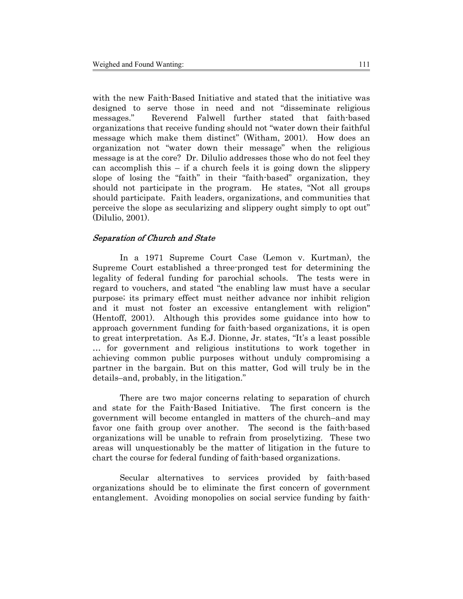with the new Faith-Based Initiative and stated that the initiative was designed to serve those in need and not "disseminate religious messages." Reverend Falwell further stated that faith-based organizations that receive funding should not "water down their faithful message which make them distinct" (Witham, 2001). How does an organization not "water down their message" when the religious message is at the core? Dr. Dilulio addresses those who do not feel they can accomplish this – if a church feels it is going down the slippery slope of losing the "faith" in their "faith-based" organization, they should not participate in the program. He states, "Not all groups should participate. Faith leaders, organizations, and communities that perceive the slope as secularizing and slippery ought simply to opt out" (Dilulio, 2001).

#### Separation of Church and State

In a 1971 Supreme Court Case (Lemon v. Kurtman), the Supreme Court established a three-pronged test for determining the legality of federal funding for parochial schools. The tests were in regard to vouchers, and stated "the enabling law must have a secular purpose; its primary effect must neither advance nor inhibit religion and it must not foster an excessive entanglement with religion" (Hentoff, 2001). Although this provides some guidance into how to approach government funding for faith-based organizations, it is open to great interpretation. As E.J. Dionne, Jr. states, "It's a least possible … for government and religious institutions to work together in achieving common public purposes without unduly compromising a partner in the bargain. But on this matter, God will truly be in the details–and, probably, in the litigation."

There are two major concerns relating to separation of church and state for the Faith-Based Initiative. The first concern is the government will become entangled in matters of the church–and may favor one faith group over another. The second is the faith-based organizations will be unable to refrain from proselytizing. These two areas will unquestionably be the matter of litigation in the future to chart the course for federal funding of faith-based organizations.

Secular alternatives to services provided by faith-based organizations should be to eliminate the first concern of government entanglement. Avoiding monopolies on social service funding by faith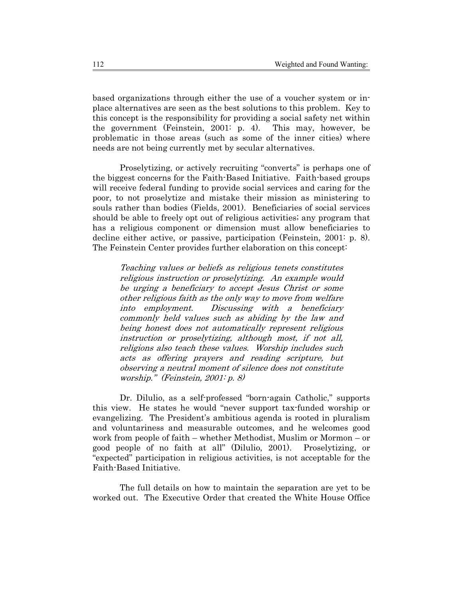based organizations through either the use of a voucher system or inplace alternatives are seen as the best solutions to this problem. Key to this concept is the responsibility for providing a social safety net within the government (Feinstein, 2001: p. 4). This may, however, be problematic in those areas (such as some of the inner cities) where needs are not being currently met by secular alternatives.

Proselytizing, or actively recruiting "converts" is perhaps one of the biggest concerns for the Faith-Based Initiative. Faith-based groups will receive federal funding to provide social services and caring for the poor, to not proselytize and mistake their mission as ministering to souls rather than bodies (Fields, 2001). Beneficiaries of social services should be able to freely opt out of religious activities; any program that has a religious component or dimension must allow beneficiaries to decline either active, or passive, participation (Feinstein, 2001: p. 8). The Feinstein Center provides further elaboration on this concept:

Teaching values or beliefs as religious tenets constitutes religious instruction or proselytizing. An example would be urging a beneficiary to accept Jesus Christ or some other religious faith as the only way to move from welfare into employment. Discussing with a beneficiary commonly held values such as abiding by the law and being honest does not automatically represent religious instruction or proselytizing, although most, if not all, religions also teach these values. Worship includes such acts as offering prayers and reading scripture, but observing a neutral moment of silence does not constitute worship." (Feinstein, 2001: p. 8)

Dr. Dilulio, as a self-professed "born-again Catholic," supports this view. He states he would "never support tax-funded worship or evangelizing. The President's ambitious agenda is rooted in pluralism and voluntariness and measurable outcomes, and he welcomes good work from people of faith – whether Methodist, Muslim or Mormon – or good people of no faith at all" (Dilulio, 2001). Proselytizing, or "expected" participation in religious activities, is not acceptable for the Faith-Based Initiative.

The full details on how to maintain the separation are yet to be worked out. The Executive Order that created the White House Office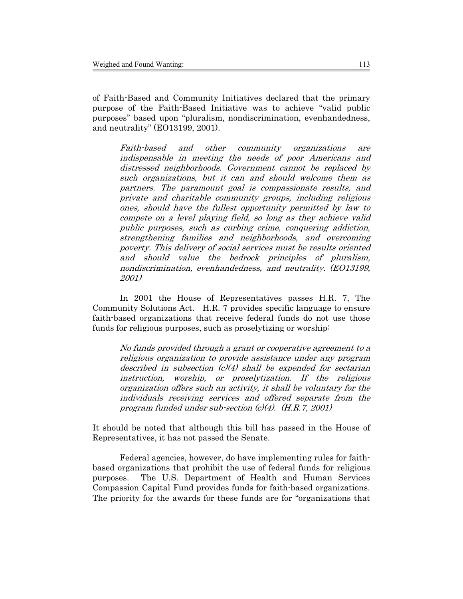of Faith-Based and Community Initiatives declared that the primary purpose of the Faith-Based Initiative was to achieve "valid public purposes" based upon "pluralism, nondiscrimination, evenhandedness, and neutrality" (EO13199, 2001).

Faith-based and other community organizations are indispensable in meeting the needs of poor Americans and distressed neighborhoods. Government cannot be replaced by such organizations, but it can and should welcome them as partners. The paramount goal is compassionate results, and private and charitable community groups, including religious ones, should have the fullest opportunity permitted by law to compete on a level playing field, so long as they achieve valid public purposes, such as curbing crime, conquering addiction, strengthening families and neighborhoods, and overcoming poverty. This delivery of social services must be results oriented and should value the bedrock principles of pluralism, nondiscrimination, evenhandedness, and neutrality. (EO13199, 2001)

In 2001 the House of Representatives passes H.R. 7, The Community Solutions Act. H.R. 7 provides specific language to ensure faith-based organizations that receive federal funds do not use those funds for religious purposes, such as proselytizing or worship:

No funds provided through a grant or cooperative agreement to a religious organization to provide assistance under any program described in subsection  $(c)(4)$  shall be expended for sectarian instruction, worship, or proselytization. If the religious organization offers such an activity, it shall be voluntary for the individuals receiving services and offered separate from the program funded under sub-section  $(c)(4)$ .  $(H.R.7, 2001)$ 

It should be noted that although this bill has passed in the House of Representatives, it has not passed the Senate.

Federal agencies, however, do have implementing rules for faithbased organizations that prohibit the use of federal funds for religious purposes. The U.S. Department of Health and Human Services Compassion Capital Fund provides funds for faith-based organizations. The priority for the awards for these funds are for "organizations that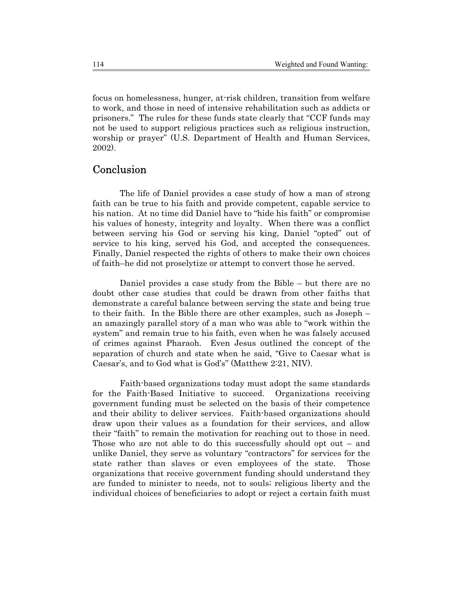focus on homelessness, hunger, at-risk children, transition from welfare to work, and those in need of intensive rehabilitation such as addicts or prisoners." The rules for these funds state clearly that "CCF funds may not be used to support religious practices such as religious instruction, worship or prayer" (U.S. Department of Health and Human Services, 2002).

# Conclusion

The life of Daniel provides a case study of how a man of strong faith can be true to his faith and provide competent, capable service to his nation. At no time did Daniel have to "hide his faith" or compromise his values of honesty, integrity and loyalty. When there was a conflict between serving his God or serving his king, Daniel "opted" out of service to his king, served his God, and accepted the consequences. Finally, Daniel respected the rights of others to make their own choices of faith–he did not proselytize or attempt to convert those he served.

Daniel provides a case study from the Bible – but there are no doubt other case studies that could be drawn from other faiths that demonstrate a careful balance between serving the state and being true to their faith. In the Bible there are other examples, such as Joseph – an amazingly parallel story of a man who was able to "work within the system" and remain true to his faith, even when he was falsely accused of crimes against Pharaoh. Even Jesus outlined the concept of the separation of church and state when he said, "Give to Caesar what is Caesar's, and to God what is God's" (Matthew 2:21, NIV).

Faith-based organizations today must adopt the same standards for the Faith-Based Initiative to succeed. Organizations receiving government funding must be selected on the basis of their competence and their ability to deliver services. Faith-based organizations should draw upon their values as a foundation for their services, and allow their "faith" to remain the motivation for reaching out to those in need. Those who are not able to do this successfully should opt out – and unlike Daniel, they serve as voluntary "contractors" for services for the state rather than slaves or even employees of the state. Those organizations that receive government funding should understand they are funded to minister to needs, not to souls; religious liberty and the individual choices of beneficiaries to adopt or reject a certain faith must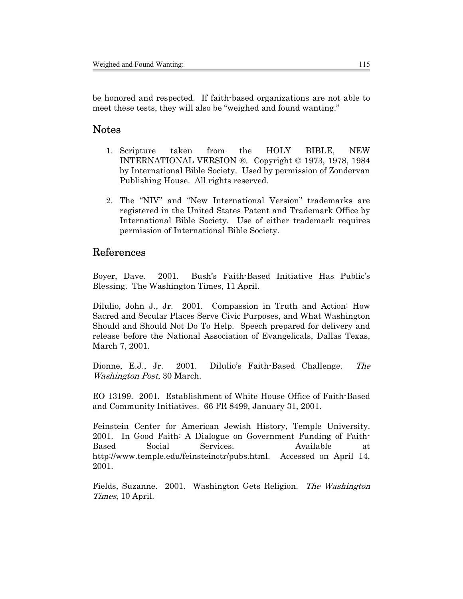be honored and respected. If faith-based organizations are not able to meet these tests, they will also be "weighed and found wanting."

# Notes

- 1. Scripture taken from the HOLY BIBLE, NEW INTERNATIONAL VERSION ®. Copyright © 1973, 1978, 1984 by International Bible Society. Used by permission of Zondervan Publishing House. All rights reserved.
- 2. The "NIV" and "New International Version" trademarks are registered in the United States Patent and Trademark Office by International Bible Society. Use of either trademark requires permission of International Bible Society.

# References

Boyer, Dave. 2001. Bush's Faith-Based Initiative Has Public's Blessing. The Washington Times, 11 April.

Dilulio, John J., Jr. 2001. Compassion in Truth and Action: How Sacred and Secular Places Serve Civic Purposes, and What Washington Should and Should Not Do To Help. Speech prepared for delivery and release before the National Association of Evangelicals, Dallas Texas, March 7, 2001.

Dionne, E.J., Jr. 2001. Dilulio's Faith-Based Challenge. The Washington Post, 30 March.

EO 13199. 2001. Establishment of White House Office of Faith-Based and Community Initiatives. 66 FR 8499, January 31, 2001.

Feinstein Center for American Jewish History, Temple University. 2001. In Good Faith: A Dialogue on Government Funding of Faith-Based Social Services. Available at http://www.temple.edu/feinsteinctr/pubs.html. Accessed on April 14, 2001.

Fields, Suzanne. 2001. Washington Gets Religion. The Washington Times, 10 April.